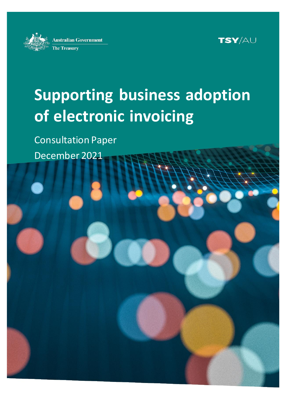



# **Supporting business adoption of electronic invoicing**

Consultation Paper

December 2021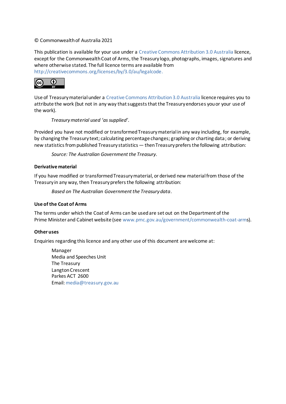#### © Commonwealth of Australia 2021

This publication is available for your use under a [Creative Commons Attribution 3.0 Australia](http://creativecommons.org/licenses/by/3.0/au/deed.en) licence, except for the Commonwealth Coat of Arms, the Treasury logo, photographs, images, signatures and where otherwise stated. The full licence terms are available from <http://creativecommons.org/licenses/by/3.0/au/legalcode>.



Use of Treasury material under a [Creative Commons Attribution 3.0 Australia](http://creativecommons.org/licenses/by/3.0/au/deed.en) licence requires you to attribute the work (but not in any way that suggests that the Treasury endorses you or your use of the work).

#### *Treasury material used 'as supplied'.*

Provided you have not modified or transformed Treasury material in any way including, for example, by changing the Treasury text; calculating percentage changes; graphing or charting data; or deriving new statistics from published Treasury statistics — then Treasury prefers the following attribution:

*Source: The Australian Government the Treasury*.

#### **Derivative material**

If you have modified or transformed Treasury material, or derived new material from those of the Treasury in any way, then Treasury prefers the following attribution:

*Based on The Australian Government the Treasury data*.

#### **Use of the Coat of Arms**

The terms under which the Coat of Arms can be used are set out on the Department of the Prime Minister and Cabinet website (se[e www.pmc.gov.au/government/commonwealth-coat-arm](http://www.pmc.gov.au/government/commonwealth-coat-arm)s).

#### **Other uses**

Enquiries regarding this licence and any other use of this document are welcome at:

Manager Media and Speeches Unit The Treasury Langton Crescent Parkes ACT 2600 Email[: media@treasury.gov.au](mailto:media@treasury.gov.au)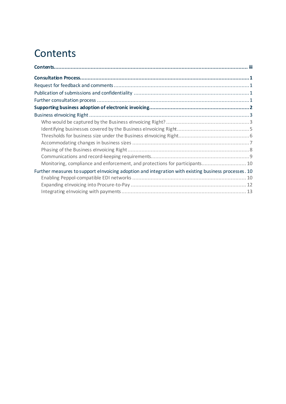## <span id="page-2-0"></span>**Contents**

| Monitoring, compliance and enforcement, and protections for participants 10                          |  |
|------------------------------------------------------------------------------------------------------|--|
| Further measures to support elnvoicing adoption and integration with existing business processes. 10 |  |
|                                                                                                      |  |
|                                                                                                      |  |
|                                                                                                      |  |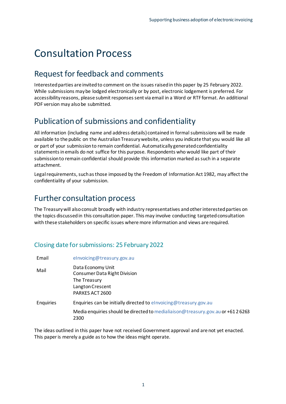## <span id="page-3-0"></span>Consultation Process

### <span id="page-3-1"></span>Request for feedback and comments

Interested parties are invited to comment on the issues raised in this paper by 25 February 2022. While submissions may be lodged electronically or by post, electronic lodgement is preferred. For accessibility reasons, please submit responses sent via email in a Word or RTF format. An additional PDF version may also be submitted.

## <span id="page-3-2"></span>Publication of submissions and confidentiality

All information (including name and address details) contained in formal submissions will be made available to the public on the Australian Treasury website, unless you indicate that you would like all or part of your submission to remain confidential. Automatically generated confidentiality statements in emails do not suffice for this purpose. Respondents who would like part of their submission to remain confidential should provide this information marked as such in a separate attachment.

Legal requirements, such as those imposed by the Freedom of Information Act 1982, may affect the confidentiality of your submission.

### <span id="page-3-3"></span>Further consultation process

The Treasury will also consult broadly with industry representatives and other interested parties on the topics discussed in this consultation paper. This may involve conducting targeted consultation with these stakeholders on specific issues where more information and views are required.

#### Closing date for submissions: 25 February 2022

| Email     | elnvoicing@treasury.gov.au                                                                                      |
|-----------|-----------------------------------------------------------------------------------------------------------------|
| Mail      | Data Economy Unit<br><b>Consumer Data Right Division</b><br>The Treasury<br>Langton Crescent<br>PARKES ACT 2600 |
| Enquiries | Enquiries can be initially directed to elnvoicing@treasury.gov.au                                               |
|           | Media enquiries should be directed to medialiaison@treasury.gov.au or +61 26263<br>2300                         |

The ideas outlined in this paper have not received Government approval and are not yet enacted. This paper is merely a guide as to how the ideas might operate.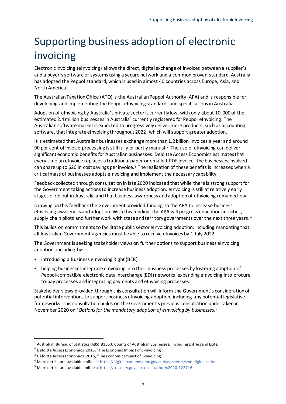## <span id="page-4-0"></span>Supporting business adoption of electronic invoicing

Electronic invoicing (eInvoicing) allows the direct, digital exchange of invoices between a supplier's and a buyer's software or systems using a secure network and a common proven standard. Australia has adopted the Peppol standard, which is used in almost 40 countries across Europe, Asia, and North America.

The Australian Taxation Office (ATO) is the Australian Peppol Authority (APA) and is responsible for developing and implementing the Peppol eInvoicing standards and specifications in Australia.

Adoption of eInvoicing by Australia's private sector is currently low, with only about 10,000 of the estimated 2.4 million businesses in Australia<sup>1</sup> currently registered for Peppol eInvoicing. The Australian software market is expected to progressively deliver more products, such as accounting software, that integrate eInvoicing throughout 2022, which will support greater adoption.

It is estimated that Australian businesses exchange more than 1.2 billion invoices a year and around 90 per cent of invoice processing is still fully or partly manual.<sup>2</sup> The use of eInvoicing can deliver significant economic benefits for Australian businesses. Deloitte Access Economics estimates that every time an eInvoice replaces a traditional paper or emailed-PDF invoice, the businesses involved can share up to \$20 in cost savings per invoice.<sup>3</sup> The realisation of these benefits is increased when a critical mass of businesses adopts eInvoicing and implement the necessary capability.

Feedback collected through consultation in late 2020 indicated that while there is strong support for the Government taking actions to increase business adoption, eInvoicing is still at relatively early stages of rollout in Australia and that business awareness and adoption of eInvoicing remained low.

Drawing on this feedback the Government provided funding to the APA to increase business eInvoicing awareness and adoption. With this funding, the APA will progress education activities, supply chain pilots and further work with state and territory governments over the next three years.<sup>4</sup>

This builds on commitments to facilitate public sector eInvoicing adoption, including mandating that all Australian Government agencies must be able to receive eInvoices by 1 July 2022.

The Government is seeking stakeholder views on further options to support business eInvoicing adoption, including by:

- introducing a Business eInvoicing Right (BER)
- helping businesses integrate eInvoicing into their business processes by fostering adoption of Peppol-compatible electronic data interchange (EDI) networks, expanding eInvoicing into procure to-pay processes and integrating payments and eInvoicing processes.

Stakeholder views provided through this consultation will inform the Government's consideration of potential interventions to support business eInvoicing adoption, including any potential legislative frameworks. This consultation builds on the Government's previous consultation undertaken in November 2020 on '*Options for the mandatory adoption of eInvoicing by businesses*. 5

<sup>1</sup> Australian Bureau of Statistics (ABS) 8165.0 Counts of Australian Businesses, including Entries and Exits.

<sup>&</sup>lt;sup>2</sup> Deloitte Access Economics, 2016, "The Economic Impact of E-Invoicing".

<sup>&</sup>lt;sup>3</sup> Deloitte Access Economics, 2016, "The Economic Impact of E-Invoicing".

<sup>4</sup> More details are available online a[t https://digitaleconomy.pmc.gov.au/fact-sheets/sme-digitalisation](https://digitaleconomy.pmc.gov.au/fact-sheets/sme-digitalisation)

<sup>5</sup> More details are available online a[t https://treasury.gov.au/consultation/c2020-122716](https://treasury.gov.au/consultation/c2020-122716)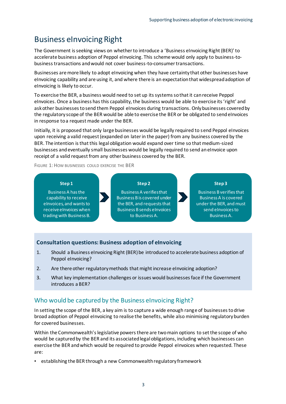## <span id="page-5-0"></span>Business eInvoicing Right

The Government is seeking views on whether to introduce a 'Business eInvoicing Right (BER)' to accelerate business adoption of Peppol eInvoicing. This scheme would only apply to business-tobusinesstransactions and would not cover business-to-consumer transactions.

Businesses are more likely to adopt eInvoicing when they have certainty that other businesses have eInvoicing capability and are using it, and where there is an expectation that widespread adoption of eInvoicing is likely to occur.

To exercise the BER, a business would need to set up its systems so that it can receive Peppol eInvoices. Once a business has this capability, the business would be able to exercise its 'right' and ask other businesses to send them Peppol eInvoices during transactions. Only businesses covered by the regulatory scope of the BER would be able to exercise the BER or be obligated to send eInvoices in response to a request made under the BER.

Initially, it is proposed that only large businesses would be legally required to send Peppol eInvoices upon receiving a valid request (expanded on later in the paper) from any business covered by the BER. The intention is that this legal obligation would expand over time so that medium-sized businesses and eventually small businesses would be legally required to send an eInvoice upon receipt of a valid request from any other business covered by the BER.

FIGURE 1: HOW BUSINESSES COULD EXERCISE THE BER



#### **Consultation questions: Business adoption of eInvoicing**

- 1. Should a Business eInvoicing Right (BER) be introduced to accelerate business adoption of Peppol eInvoicing?
- 2. Are there other regulatory methods that might increase eInvoicing adoption?
- 3. What key implementation challenges or issues would businesses face if the Government introduces a BER?

#### <span id="page-5-1"></span>Who would be captured by the Business eInvoicing Right?

In setting the scope of the BER, a key aim is to capture a wide enough range of businesses to drive broad adoption of Peppol eInvoicing to realise the benefits, while also minimising regulatory burden for covered businesses.

Within the Commonwealth's legislative powers there are two main options to set the scope of who would be captured by the BER and its associated legal obligations, including which businesses can exercise the BER and which would be required to provide Peppol eInvoices when requested. These are:

• establishing the BER through a new Commonwealth regulatory framework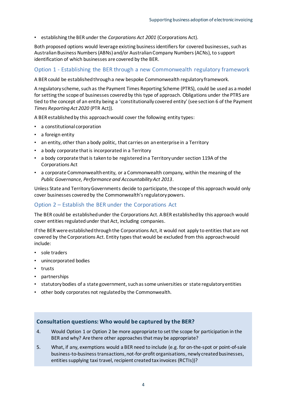• establishing the BER under the *Corporations Act 2001* (Corporations Act).

Both proposed options would leverage existing business identifiers for covered businesses, such as Australian Business Numbers (ABNs) and/or Australian Company Numbers (ACNs), to support identification of which businesses are covered by the BER.

#### Option 1 - Establishing the BER through a new Commonwealth regulatory framework

A BER could be established through a new bespoke Commonwealth regulatory framework.

A regulatory scheme, such as the Payment Times Reporting Scheme (PTRS), could be used as a model for setting the scope of businesses covered by this type of approach. Obligations under the PTRS are tied to the concept of an entity being a 'constitutionally covered entity' (see section 6 of the Payment *Times Reporting Act 2020* (PTR Act)).

A BER established by this approach would cover the following entity types:

- a constitutional corporation
- a foreign entity
- an entity, other than a body politic, that carries on an enterprise in a Territory
- a body corporate that is incorporated in a Territory
- a body corporate that is taken to be registered in a Territory under section 119A of the Corporations Act
- a corporate Commonwealth entity, or a Commonwealth company, within the meaning of the *Public Governance, Performance and Accountability Act 2013*.

Unless State and Territory Governments decide to participate, the scope of this approach would only cover businesses covered by the Commonwealth's regulatory powers.

#### Option 2 – Establish the BER under the Corporations Act

The BER could be established under the Corporations Act. A BER established by this approach would cover entities regulated under that Act, including companies.

If the BER were established through the Corporations Act, it would not apply to entities that are not covered by the Corporations Act. Entity types that would be excluded from this approach would include:

- sole traders
- unincorporated bodies
- trusts
- partnerships
- statutory bodies of a state government, such as some universities or state regulatory entities
- other body corporates not regulated by the Commonwealth.

#### **Consultation questions: Who would be captured by the BER?**

- 4. Would Option 1 or Option 2 be more appropriate to set the scope for participation in the BER and why? Are there other approaches that may be appropriate?
- 5. What, if any, exemptions would a BER need to include (e.g. for on-the-spot or point-of-sale business-to-business transactions, not-for-profit organisations, newly created businesses, entities supplying taxi travel, recipient created tax invoices (RCTIs))?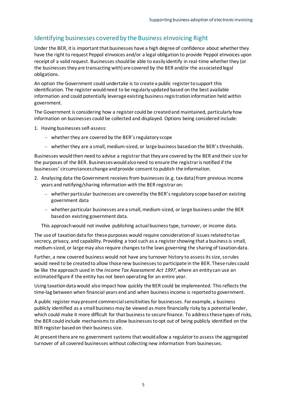#### <span id="page-7-0"></span>Identifying businesses covered by the Business eInvoicing Right

Under the BER, it is important that businesses have a high degree of confidence about whether they have the right to request Peppol eInvoices and/or a legal obligation to provide Peppol eInvoices upon receipt of a valid request. Businesses should be able to easily identify in real-time whether they (or the businesses they are transacting with) are covered by the BER and/or the associated legal obligations.

An option the Government could undertake is to create a public register to support this identification. The register would need to be regularly updated based on the best available information and could potentially leverage existing business registration information held within government.

The Government is considering how a register could be created and maintained, particularly how information on businesses could be collected and displayed. Options being considered include:

- 1. Having businesses self-assess:
	- whether they are covered by the BER's regulatory scope
	- whether they are a small, medium-sized, or large business based on the BER's thresholds.

Businesses would then need to advise a registrar that they are covered by the BER and their size for the purposes of the BER. Businesses would also need to ensure the registrar is notified if the businesses' circumstances change and provide consent to publish the information.

- 2. Analysing data the Government receives from businesses (e.g. tax data) from previous income years and notifying/sharing information with the BER registrar on:
	- whether particular businesses are covered by the BER's regulatory scope based on existing government data
	- whether particular businesses are a small, medium-sized, or large business under the BER based on existing government data.

This approach would not involve publishing actual business type, turnover, or income data.

The use of taxation data for these purposes would require consideration of issues related to tax secrecy, privacy, and capability. Providing a tool such as a register showing that a business is small, medium-sized, or large may also require changes to the laws governing the sharing of taxation data.

Further, a new covered business would not have any turnover history to assess its size, so rules would need to be created to allow those new businesses to participate in the BER. These rules could be like the approach used in the *Income Tax Assessment Act 1997*, where an entity can use an estimated figure if the entity has not been operating for an entire year.

Using taxation data would also impact how quickly the BER could be implemented. This reflects the time-lag between when financial years end and when business income is reported to government.

A public register may present commercial sensitivities for businesses. For example, a business publicly identified as a small business may be viewed as more financially risky by a potential lender, which could make it more difficult for that business to secure finance. To address these types of risks, the BER could include mechanisms to allow businesses to opt out of being publicly identified on the BER register based on their business size.

At present there are no government systems that would allow a regulator to assess the aggregated turnover of all covered businesses without collecting new information from businesses.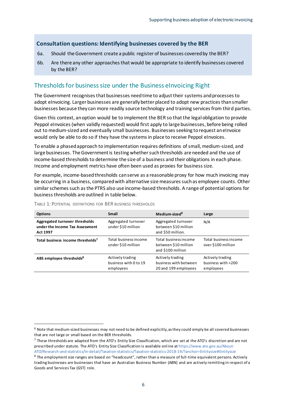#### **Consultation questions: Identifying businesses covered by the BER**

- 6a. Should the Government create a public register of businesses covered by the BER?
- 6b. Are there any other approaches that would be appropriate to identify businesses covered by the BER?

#### <span id="page-8-0"></span>Thresholds for business size under the Business eInvoicing Right

The Government recognises that businesses need time to adjust their systems and processes to adopt eInvoicing. Larger businesses are generally better placed to adopt new practices than smaller businesses because they can more readily source technology and training services from third parties.

Given this context, an option would be to implement the BER so that the legal obligation to provide Peppol eInvoices (when validly requested) would first apply to large businesses, before being rolled out to medium-sized and eventually small businesses. Businesses seeking to request an eInvoice would only be able to do so if they have the systems in place to receive Peppol eInvoices.

To enable a phased approach to implementation requires definitions of small, medium-sized, and large businesses. The Government is testing whether such thresholds are needed and the use of income-based thresholds to determine the size of a business and their obligations in each phase. Income and employment metrics have often been used as proxies for business size.

For example, income-based thresholds can serve as a reasonable proxy for how much invoicing may be occurring in a business, compared with alternative size measures such as employee counts. Other similar schemes such as the PTRS also use income-based thresholds. A range of potential options for business thresholds are outlined in table below.

| <b>Options</b>                                                                | Small                                                  | Medium-sized <sup>6</sup>                                          | Large                                               |
|-------------------------------------------------------------------------------|--------------------------------------------------------|--------------------------------------------------------------------|-----------------------------------------------------|
| Aggregated turnover thresholds<br>under the Income Tax Assessment<br>Act 1997 | Aggregated turnover<br>under \$10 million              | Aggregated turnover<br>between \$10 million<br>and \$50 million.   | N/A                                                 |
| Total business income thresholds <sup>7</sup>                                 | Total business income<br>under \$10 million            | Total business income<br>between \$10 million<br>and \$100 million | Total business income<br>over \$100 million         |
| ABS employee thresholds <sup>8</sup>                                          | Actively trading<br>business with 0 to 19<br>employees | Actively trading<br>business with between<br>20 and 199 employees  | Actively trading<br>business with >200<br>employees |

TABLE 1: POTENTIAL DEFINITIONS FOR BER BUSINESS THRESHOLDS

 $6$  Note that medium-sized businesses may not need to be defined explicitly, as they could simply be all covered businesses that are not large or small based on the BER thresholds.

 $^7$  These thresholds are adapted from the ATO's Entity Size Classification, which are set at the ATO's discretion and are not prescribed under statute. The ATO's Entity Size Classification is available onl ine a[t https://www.ato.gov.au/About-](https://www.ato.gov.au/About-ATO/Research-and-statistics/In-detail/Taxation-statistics/Taxation-statistics-2018-19/?anchor=Entitysize#Entitysize)[ATO/Research-and-statistics/In-detail/Taxation-statistics/Taxation-statistics-2018-19/?anchor=Entitysize#Entitysize](https://www.ato.gov.au/About-ATO/Research-and-statistics/In-detail/Taxation-statistics/Taxation-statistics-2018-19/?anchor=Entitysize#Entitysize)

 $8$  The employment size ranges are based on "headcount", rather than a measure of full-time equivalent persons. Actively trading businesses are businesses that have an Australian Business Number (ABN) and are actively remitting in respect of a Goods and Services Tax (GST) role.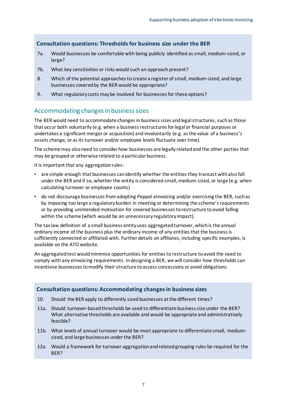#### **Consultation questions: Thresholds for business size under the BER**

- 7a. Would businesses be comfortable with being publicly identified as small, medium-sized, or large?
- 7b. What key sensitivities or risks would such an approach present?
- 8. Which of the potential approaches to create a register of small, medium-sized, and large businesses covered by the BER would be appropriate?
- 9. What regulatory costs may be involved for businesses for these options?

#### <span id="page-9-0"></span>Accommodating changes in business sizes

The BER would need to accommodate changes in business sizes and legal structures, such as those that occur both voluntarily (e.g. when a business restructures for legal or financial purposes or undertakes a significant merger or acquisition) and involuntarily (e.g. as the value of a business's assets change, or as its turnover and/or employee levels fluctuate over time).

The scheme may also need to consider how businesses are legally related and the other parties that may be grouped or otherwise related to a particular business.

It is important that any aggregation rules:

- are simple enough that businesses can identify whether the entities they transact with also fall under the BER and if so, whether the entity is considered small, medium-sized, or large (e.g. when calculating turnover or employee counts)
- do not discourage businesses from adopting Peppol eInvoicing and/or exercising the BER, such as by imposing too large a regulatory burden in meeting or determining the scheme's requirements or by providing unintended motivation for covered businesses to restructure to avoid falling within the scheme (which would be an unnecessary regulatory impact).

The tax law definition of a small business entity uses aggregated turnover, which is the annual ordinary income of the business plus the ordinary income of any entities that the business is sufficiently connected or affiliated with. Further details on affiliates, including specific examples, is available on the ATO website.

An aggregated test would minimise opportunities for entities to restructure toavoid the need to comply with any eInvoicing requirements. In designing a BER, we will consider how thresholds can incentivise businesses to modify their structure to access concessions or avoid obligations.

#### **Consultation questions: Accommodating changes in business sizes**

- 10. Should the BER apply to differently sized businesses at the different times?
- 11a. Should turnover-based thresholds be used to differentiate business size under the BER? What alternative thresholds are available and would be appropriate and administratively feasible?
- 11b. What levels of annual turnover would be most appropriate to differentiate small, mediumsized, and large businesses under the BER?
- 12a. Would a framework for turnover aggregation and related grouping rules be required for the BER?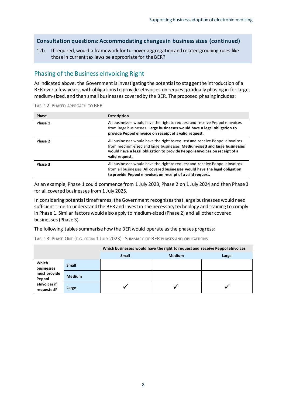#### **Consultation questions: Accommodating changes in business sizes (continued)**

12b. If required, would a framework for turnover aggregation and related grouping rules like those in current tax laws be appropriate for the BER?

#### <span id="page-10-0"></span>Phasing of the Business eInvoicing Right

As indicated above, the Government is investigating the potential to stagger the introduction of a BER over a few years, with obligations to provide eInvoices on request gradually phasing in for large, medium-sized, and then small businesses covered by the BER. The proposed phasing includes:

| Phase   | Description                                                                                                                                                                                                                                             |
|---------|---------------------------------------------------------------------------------------------------------------------------------------------------------------------------------------------------------------------------------------------------------|
| Phase 1 | All businesses would have the right to request and receive Peppol elnvoices<br>from large businesses. Large businesses would have a legal obligation to<br>provide Peppol elnvoice on receipt of a valid request.                                       |
| Phase 2 | All businesses would have the right to request and receive Peppol elnvoices<br>from medium-sized and large businesses. Medium-sized and large businesses<br>would have a legal obligation to provide Peppol eInvoices on receipt of a<br>valid request. |
| Phase 3 | All businesses would have the right to request and receive Peppol elnvoices<br>from all businesses. All covered businesses would have the legal obligation<br>to provide Peppol elnvoices on receipt of a valid request.                                |

TABLE 2: PHASED APPROACH TO BER

As an example, Phase 1 could commence from 1 July 2023, Phase 2 on 1 July 2024 and then Phase 3 for all covered businesses from 1 July 2025.

In considering potential timeframes, the Government recognises that large businesses would need sufficient time to understand the BER and invest in the necessary technology and training to comply in Phase 1. Similar factors would also apply to medium-sized (Phase 2) and all other covered businesses (Phase 3).

The following tables summarise how the BER would operate as the phases progress:

|                            |               | Which businesses would have the right to request and receive Peppol elnvoices |               |       |
|----------------------------|---------------|-------------------------------------------------------------------------------|---------------|-------|
|                            |               | <b>Small</b>                                                                  | <b>Medium</b> | Large |
| Which<br>businesses        | <b>Small</b>  |                                                                               |               |       |
| must provide<br>Peppol     | <b>Medium</b> |                                                                               |               |       |
| elnvoices if<br>requested? | Large         |                                                                               |               |       |

8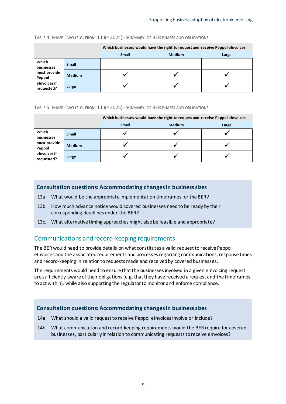|                                                                             |               | Which businesses would have the right to request and receive Peppol elnvoices |               |       |
|-----------------------------------------------------------------------------|---------------|-------------------------------------------------------------------------------|---------------|-------|
|                                                                             |               | <b>Small</b>                                                                  | <b>Medium</b> | Large |
| Which<br>businesses<br>must provide<br>Peppol<br>elnvoices if<br>requested? | <b>Small</b>  |                                                                               |               |       |
|                                                                             | <b>Medium</b> |                                                                               |               |       |
|                                                                             | Large         |                                                                               |               |       |

TABLE 4: PHASE TWO (E.G. FROM 1 JULY 2024)- SUMMARY OF BER PHASES AND OBLIGATIONS

#### TABLE 5: PHASE TWO (E.G. FROM 1 JULY 2025)- SUMMARY OF BER PHASES AND OBLIGATIONS

|                            |               | Which businesses would have the right to request and receive Peppol elnvoices |               |       |
|----------------------------|---------------|-------------------------------------------------------------------------------|---------------|-------|
|                            |               | <b>Small</b>                                                                  | <b>Medium</b> | Large |
| Which<br>businesses        | <b>Small</b>  |                                                                               |               |       |
| must provide<br>Peppol     | <b>Medium</b> |                                                                               |               |       |
| elnvoices if<br>requested? | Large         |                                                                               |               |       |

#### **Consultation questions: Accommodating changes in business sizes**

- 13a. What would be the appropriate implementation timeframes for the BER?
- 13b. How much advance notice would covered businesses need to be ready by their corresponding deadlines under the BER?
- 13c. What alternative timing approaches might also be feasible and appropriate?

#### <span id="page-11-0"></span>Communications and record-keeping requirements

The BER would need to provide details on what constitutes a valid request to receive Peppol eInvoices and the associated requirements and processes regarding communications, response times and record-keeping in relation to requests made and received by covered businesses.

The requirements would need to ensure that the businesses involved in a given eInvoicing request are sufficiently aware of their obligations (e.g. that they have received a request and the timeframes to act within), while also supporting the regulator to monitor and enforce compliance.

#### **Consultation questions: Accommodating changes in business sizes**

- 14a. What should a valid request to receive Peppol eInvoices involve or include?
- 14b. What communication and record-keeping requirements would the BER require for covered businesses, particularly in relation to communicating requests to receive eInvoices?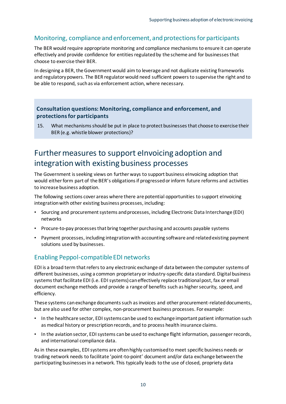#### <span id="page-12-0"></span>Monitoring, compliance and enforcement, and protections for participants

The BER would require appropriate monitoring and compliance mechanisms to ensure it can operate effectively and provide confidence for entities regulated by the scheme and for businesses that choose to exercise their BER.

In designing a BER, the Government would aim to leverage and not duplicate existing frameworks and regulatory powers. The BER regulator would need sufficient powers to supervise the right and to be able to respond, such as via enforcement action, where necessary.

#### **Consultation questions: Monitoring, compliance and enforcement, and protections for participants**

15. What mechanisms should be put in place to protect businesses that choose to exercise their BER (e.g. whistle blower protections)?

### <span id="page-12-1"></span>Further measures to support eInvoicing adoption and integration with existing business processes

The Government is seeking views on further ways to support business eInvoicing adoption that would either form part of the BER's obligations if progressed or inform future reforms and activities to increase business adoption.

The following sections cover areas where there are potential opportunities to support eInvoicing integration with other existing business processes, including:

- Sourcing and procurement systems and processes, including Electronic Data Interchange (EDI) networks
- Procure-to-pay processes that bring together purchasing and accounts payable systems
- Payment processes, including integration with accounting software and related existing payment solutions used by businesses.

#### <span id="page-12-2"></span>Enabling Peppol-compatible EDI networks

EDI is a broad term that refers to any electronic exchange of data between the computer systems of different businesses, using a common proprietary or industry-specific data standard. Digital business systems that facilitate EDI (i.e. EDI systems) can effectively replace traditional post, fax or email document exchange methods and provide a range of benefits such as higher security, speed, and efficiency.

These systems can exchange documents such as invoices and other procurement-relateddocuments, but are also used for other complex, non-procurement business processes. For example:

- In the healthcare sector, EDI systems can be used to exchange important patient information such as medical history or prescription records, and to process health insurance claims.
- In the aviation sector, EDI systems can be used to exchange flight information, passenger records, and international compliance data.

As in these examples, EDI systems are often highly customised to meet specific business needs or trading network needs to facilitate 'point-to-point' document and/or data exchange between the participating businesses in a network. This typically leads to the use of closed, propriety data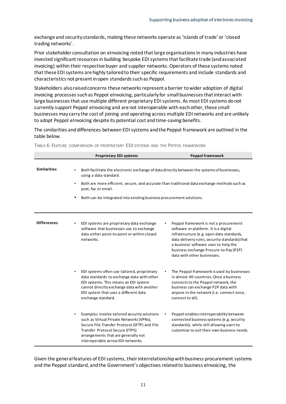exchange and security standards, making these networks operate as 'islands of trade' or 'closed trading networks'.

Prior stakeholder consultation on eInvoicing noted that large organisations in many industries have invested significant resources in building bespoke EDI systems that facilitate trade (and associated invoicing) within their respective buyer and supplier networks. Operators of these systems noted that these EDI systems are highly tailored to their specific requirements and include standards and characteristics not present in open standards such as Peppol.

Stakeholders also raised concerns these networks represent a barrier to wider adoption of digital invoicing processes such as Peppol eInvoicing, particularly for small businesses that interact with large businesses that use multiple different proprietary EDI systems. As most EDI systems do not currently support Peppol eInvoicing and are not interoperable with each other, these small businesses may carry the cost of joining and operating across multiple EDI networks and are unlikely to adopt Peppol eInvoicing despite its potential cost and time-saving benefits.

The similarities and differences between EDI systems and the Peppol framework are outlined in the table below.

|                     | <b>Proprietary EDI systems</b>                                                                                                                                                                                                                            | <b>Peppol framework</b>                                                                                                                                                                                                                                                                        |  |  |
|---------------------|-----------------------------------------------------------------------------------------------------------------------------------------------------------------------------------------------------------------------------------------------------------|------------------------------------------------------------------------------------------------------------------------------------------------------------------------------------------------------------------------------------------------------------------------------------------------|--|--|
| <b>Similarities</b> | using a data standard.<br>$\bullet$<br>post, fax or email.                                                                                                                                                                                                | Both facilitate the electronic exchange of data directly between the systems of businesses,<br>Both are more efficient, secure, and accurate than traditional data exchange methods such as                                                                                                    |  |  |
|                     |                                                                                                                                                                                                                                                           | Both can be integrated into existing business procurement solutions.                                                                                                                                                                                                                           |  |  |
| <b>Differences</b>  | EDI systems are proprietary data exchange<br>software that businesses use to exchange<br>data either point-to-point or within closed<br>networks.                                                                                                         | Peppol framework is not a procurement<br>software or platform. It is a digital<br>infrastructure (e.g. open data standards,<br>data delivery rules, security standards) that<br>a business' software uses to help the<br>business exchange Procure-to-Pay (P2P)<br>data with other businesses. |  |  |
|                     | EDI systems often use tailored, proprietary<br>data standards to exchange data with other<br>EDI systems. This means an EDI system<br>cannot directly exchange data with another<br>EDI system that uses a different data<br>exchange standard.           | The Peppol framework is used by businesses<br>in almost 40 countries. Once a business<br>connects to the Peppol network, the<br>business can exchange P2P data with<br>anyone in the network (i.e. connect once,<br>connect to all).                                                           |  |  |
|                     | Examples involve tailored security solutions<br>such as Virtual Private Networks (VPNs),<br>Secure File Transfer Protocol (SFTP) and File<br>Transfer Protocol Secure (FTPS)<br>arrangements that are generally not<br>interoperable across EDI networks. | Peppol enables interoperability between<br>connected business systems (e.g. security<br>standards), while still allowing users to<br>customise to suit their own business needs.                                                                                                               |  |  |

TABLE 6: FEATURE COMPARISON OF PROPRIETARY EDI SYSTEMS AND THE PEPPOL FRAMEWORK

Given the general features of EDI systems, their interrelationship with business procurement systems and the Peppol standard, and the Government's objectives related to business eInvoicing, the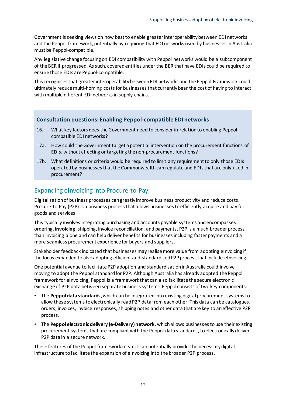Government is seeking views on how best to enable greater interoperability between EDI networks and the Peppol framework, potentially by requiring that EDI networks used by businesses in Australia must be Peppol-compatible.

Any legislative change focusing on EDI compatibility with Peppol networks would be a subcomponent of the BER if progressed. As such, covered entities under the BER that have EDIs could be required to ensure those EDIs are Peppol-compatible.

This recognises that greater interoperability between EDI networks and the Peppol Framework could ultimately reduce multi-homing costs for businesses that currently bear the cost of having to interact with multiple different EDI networks in supply chains.

#### **Consultation questions: Enabling Peppol-compatible EDI networks**

- 16. What key factors does the Government need to consider in relation to enabling Peppolcompatible EDI networks?
- 17a. How could the Government target a potential intervention on the procurement functions of EDIs, without affecting or targeting the non-procurement functions?
- 17b. What definitions or criteria would be required to limit any requirement to only those EDIs operated by businesses that the Commonwealth can regulate and EDIs that are only used in procurement?

#### <span id="page-14-0"></span>Expanding eInvoicing into Procure-to-Pay

Digitalisation of business processes can greatly improve business productivity and reduce costs. Procure-to-Pay (P2P) is a business process that allows businesses to efficiently acquire and pay for goods and services.

This typically involves integrating purchasing and accounts payable systems and encompasses ordering, **invoicing**, shipping, invoice reconciliation, and payments. P2P is a much broader process than invoicing alone and can help deliver benefits for businesses including faster payments and a more seamless procurement experience for buyers and suppliers.

Stakeholder feedback indicated that businesses may realise more value from adopting eInvoicing if the focus expanded to also adopting efficient and standardised P2P process that include eInvoicing.

One potential avenue to facilitate P2P adoption and standardisation in Australia could involve moving to adopt the Peppol standard for P2P. Although Australia has already adopted the Peppol framework for eInvoicing, Peppol is a framework that can also facilitate the secure electronic exchange of P2P data between separate business systems. Peppol consists of two key components:

- The **Peppol data standards**, which can be integrated into existing digital procurement systems to allow these systems to electronically read P2P data from each other. This data can be catalogues, orders, invoices, invoice responses, shipping notes and other data that are key to an effective P2P process.
- The **Peppol electronic delivery (e-Delivery) network**, which allows businesses to use their existing procurement systems that are compliant with the Peppol data standards, to electronically deliver P2P data in a secure network.

These features of the Peppol framework mean it can potentially provide the necessary digital infrastructure to facilitate the expansion of eInvoicing into the broader P2P process.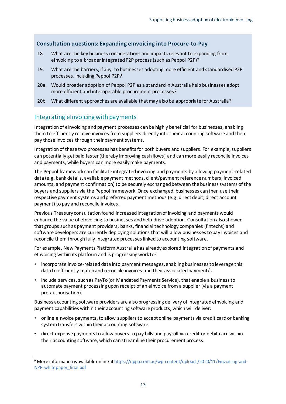#### **Consultation questions: Expanding eInvoicing into Procure-to-Pay**

- 18. What are the key business considerations and impacts relevant to expanding from eInvoicing to a broader integrated P2P process (such as Peppol P2P)?
- 19. What are the barriers, if any, to businesses adopting more efficient and standardised P2P processes, including Peppol P2P?
- 20a. Would broader adoption of Peppol P2P as a standard in Australia help businesses adopt more efficient and interoperable procurement processes?
- 20b. What different approaches are available that may also be appropriate for Australia?

#### <span id="page-15-0"></span>Integrating eInvoicing with payments

Integration of eInvoicing and payment processes can be highly beneficial for businesses, enabling them to efficiently receive invoices from suppliers directly into their accounting software and then pay those invoices through their payment systems.

Integration of these two processes has benefits for both buyers and suppliers. For example, suppliers can potentially get paid faster (thereby improving cash flows) and can more easily reconcile invoices and payments, while buyers can more easily make payments.

The Peppol framework can facilitate integrated invoicing and payments by allowing payment-related data (e.g. bank details, available payment methods, client/payment reference numbers, invoiced amounts, and payment confirmation) to be securely exchanged between the business systems of the buyers and suppliers via the Peppol framework. Once exchanged, businesses can then use their respective payment systems and preferred payment methods (e.g. direct debit, direct account payment) to pay and reconcile invoices.

Previous Treasury consultation found increased integration of invoicing and payments would enhance the value of eInvoicing to businesses and help drive adoption. Consultation also showed that groups such as payment providers, banks, financial technology companies (fintechs) and software developers are currently deploying solutions that will allow businesses to pay invoices and reconcile them through fully integrated processes linked to accounting software.

For example, New Payments Platform Australia has already explored integration of payments and eInvoicing within its platform and is progressing work to<sup>9</sup>:

- incorporate invoice-related data into payment messages, enabling businesses to leverage this data to efficiently match and reconcile invoices and their associated payment/s
- include services, such as PayTo (or Mandated Payments Service), that enable a business to automate payment processing upon receipt of an eInvoice from a supplier (via a payment pre-authorisation).

Business accounting software providers are also progressing delivery of integrated eInvoicing and payment capabilities within their accounting software products, which will deliver:

- online eInvoice payments, to allow suppliers to accept online payments via credit card or banking system transfers within their accounting software
- direct expense payments to allow buyers to pay bills and payroll via credit or debit card within their accounting software, which can streamline their procurement process.

<sup>9</sup> More information is available online a[t https://nppa.com.au/wp-content/uploads/2020/11/Einvoicing-and-](https://nppa.com.au/wp-content/uploads/2020/11/Einvoicing-and-NPP-whitepaper_final.pdf)[NPP-whitepaper\\_final.pdf](https://nppa.com.au/wp-content/uploads/2020/11/Einvoicing-and-NPP-whitepaper_final.pdf)